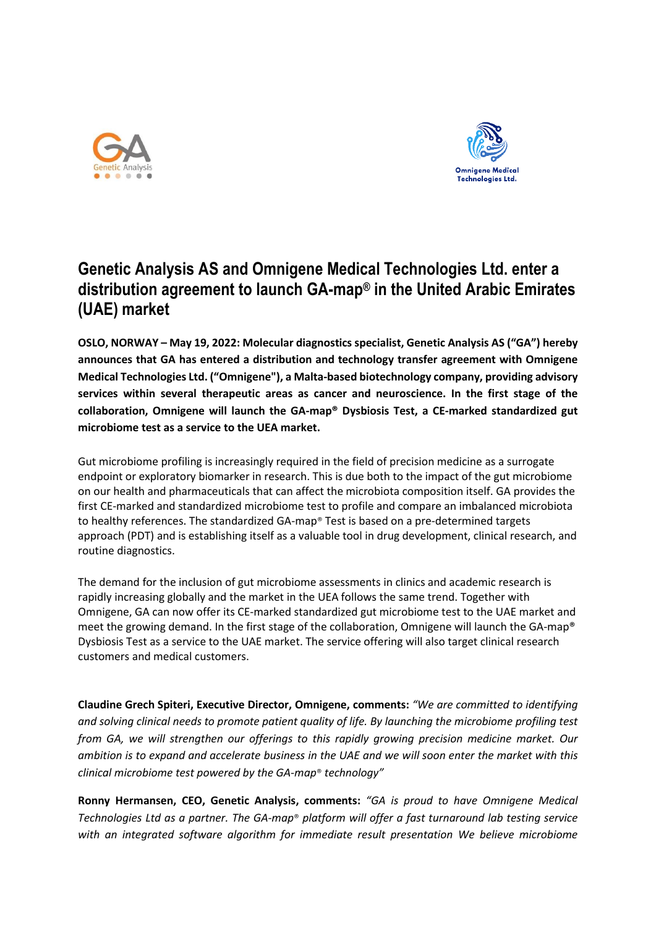



## **Genetic Analysis AS and Omnigene Medical Technologies Ltd. enter a distribution agreement to launch GA-map® in the United Arabic Emirates (UAE) market**

**OSLO, NORWAY – May 19, 2022: Molecular diagnostics specialist, Genetic Analysis AS ("GA") hereby announces that GA has entered a distribution and technology transfer agreement with Omnigene Medical Technologies Ltd. ("Omnigene"), a Malta-based biotechnology company, providing advisory services within several therapeutic areas as cancer and neuroscience. In the first stage of the collaboration, Omnigene will launch the GA-map® Dysbiosis Test, a CE-marked standardized gut microbiome test as a service to the UEA market.**

Gut microbiome profiling is increasingly required in the field of precision medicine as a surrogate endpoint or exploratory biomarker in research. This is due both to the impact of the gut microbiome on our health and pharmaceuticals that can affect the microbiota composition itself. GA provides the first CE-marked and standardized microbiome test to profile and compare an imbalanced microbiota to healthy references. The standardized GA-map® Test is based on a pre-determined targets approach (PDT) and is establishing itself as a valuable tool in drug development, clinical research, and routine diagnostics.

The demand for the inclusion of gut microbiome assessments in clinics and academic research is rapidly increasing globally and the market in the UEA follows the same trend. Together with Omnigene, GA can now offer its CE-marked standardized gut microbiome test to the UAE market and meet the growing demand. In the first stage of the collaboration, Omnigene will launch the GA-map® Dysbiosis Test as a service to the UAE market. The service offering will also target clinical research customers and medical customers.

**Claudine Grech Spiteri, Executive Director, Omnigene, comments:** *"We are committed to identifying and solving clinical needs to promote patient quality of life. By launching the microbiome profiling test from GA, we will strengthen our offerings to this rapidly growing precision medicine market. Our ambition is to expand and accelerate business in the UAE and we will soon enter the market with this clinical microbiome test powered by the GA-map*® *technology"*

**Ronny Hermansen, CEO, Genetic Analysis, comments:** *"GA is proud to have Omnigene Medical Technologies Ltd as a partner. The GA-map*® *platform will offer a fast turnaround lab testing service with an integrated software algorithm for immediate result presentation We believe microbiome*